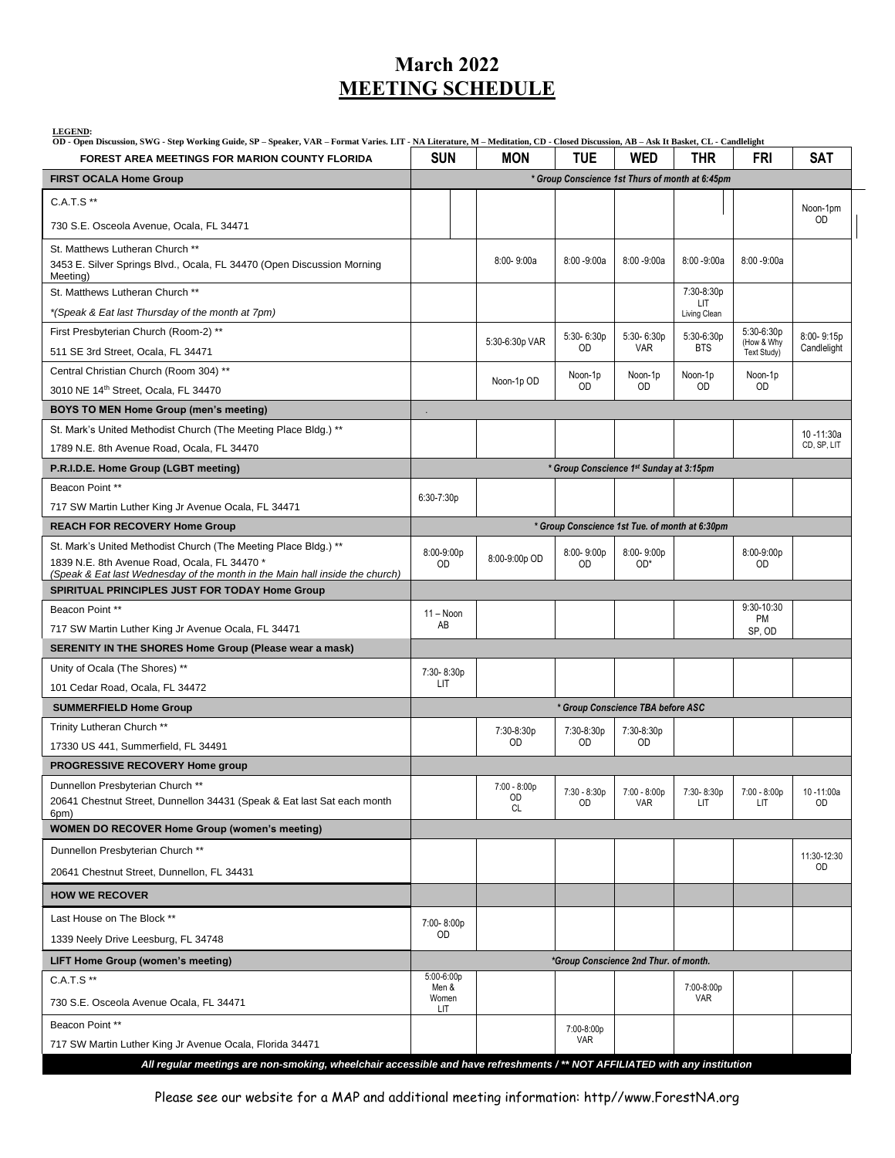## **March 2022 MEETING SCHEDULE**

| <b>LEGEND:</b><br>OD - Open Discussion, SWG - Step Working Guide, SP - Speaker, VAR - Format Varies. LIT - NA Literature, M - Meditation, CD - Closed Discussion, AB - Ask It Basket, CL - Candlelight |                                                 |                                 |                             |                       |                      |                             |                        |
|--------------------------------------------------------------------------------------------------------------------------------------------------------------------------------------------------------|-------------------------------------------------|---------------------------------|-----------------------------|-----------------------|----------------------|-----------------------------|------------------------|
| <b>FOREST AREA MEETINGS FOR MARION COUNTY FLORIDA</b>                                                                                                                                                  | <b>SUN</b>                                      | <b>MON</b>                      | <b>TUE</b>                  | <b>WED</b>            | <b>THR</b>           | FRI                         | <b>SAT</b>             |
| <b>FIRST OCALA Home Group</b>                                                                                                                                                                          | * Group Conscience 1st Thurs of month at 6:45pm |                                 |                             |                       |                      |                             |                        |
| C.A.T.S **                                                                                                                                                                                             |                                                 |                                 |                             |                       |                      |                             | Noon-1pm               |
| 730 S.E. Osceola Avenue, Ocala, FL 34471                                                                                                                                                               |                                                 |                                 |                             |                       |                      |                             | OD                     |
| St. Matthews Lutheran Church **<br>3453 E. Silver Springs Blvd., Ocala, FL 34470 (Open Discussion Morning<br>Meeting)                                                                                  |                                                 | $8:00 - 9:00a$                  | $8:00 - 9:00a$              | $8:00 - 9:00a$        | $8:00 - 9:00a$       | $8:00 - 9:00a$              |                        |
| St. Matthews Lutheran Church **                                                                                                                                                                        |                                                 |                                 |                             |                       | 7:30-8:30p           |                             |                        |
| *(Speak & Eat last Thursday of the month at 7pm)                                                                                                                                                       |                                                 |                                 |                             |                       | LIT.<br>Living Clean |                             |                        |
| First Presbyterian Church (Room-2) **                                                                                                                                                                  |                                                 |                                 | $5:30 - 6:30p$              | 5:30-6:30p            | 5:30-6:30p           | 5:30-6:30p                  | 8:00-9:15p             |
| 511 SE 3rd Street, Ocala, FL 34471                                                                                                                                                                     |                                                 | 5:30-6:30p VAR                  | <b>OD</b>                   | <b>VAR</b>            | <b>BTS</b>           | (How & Why<br>Text Study)   | Candlelight            |
| Central Christian Church (Room 304) **                                                                                                                                                                 |                                                 | Noon-1p OD                      | Noon-1p                     | Noon-1p               | Noon-1p              | Noon-1p                     |                        |
| 3010 NE 14th Street, Ocala, FL 34470                                                                                                                                                                   |                                                 |                                 | OD                          | OD                    | <b>OD</b>            | <b>OD</b>                   |                        |
| <b>BOYS TO MEN Home Group (men's meeting)</b>                                                                                                                                                          |                                                 |                                 |                             |                       |                      |                             |                        |
| St. Mark's United Methodist Church (The Meeting Place Bldg.) **                                                                                                                                        |                                                 |                                 |                             |                       |                      |                             | 10 -11:30a             |
| 1789 N.E. 8th Avenue Road, Ocala, FL 34470                                                                                                                                                             |                                                 |                                 |                             |                       |                      |                             | CD, SP, LIT            |
| P.R.I.D.E. Home Group (LGBT meeting)                                                                                                                                                                   | * Group Conscience 1st Sunday at 3:15pm         |                                 |                             |                       |                      |                             |                        |
| Beacon Point **                                                                                                                                                                                        | $6:30 - 7:30p$                                  |                                 |                             |                       |                      |                             |                        |
| 717 SW Martin Luther King Jr Avenue Ocala, FL 34471                                                                                                                                                    |                                                 |                                 |                             |                       |                      |                             |                        |
| <b>REACH FOR RECOVERY Home Group</b>                                                                                                                                                                   | * Group Conscience 1st Tue. of month at 6:30pm  |                                 |                             |                       |                      |                             |                        |
| St. Mark's United Methodist Church (The Meeting Place Bldg.) **<br>1839 N.E. 8th Avenue Road, Ocala, FL 34470 *<br>(Speak & Eat last Wednesday of the month in the Main hall inside the church)        | 8:00-9:00p<br><b>OD</b>                         | 8:00-9:00p OD                   | 8:00-9:00p<br><b>OD</b>     | 8:00-9:00p<br>$OD^*$  |                      | 8:00-9:00p<br>OD            |                        |
| SPIRITUAL PRINCIPLES JUST FOR TODAY Home Group                                                                                                                                                         |                                                 |                                 |                             |                       |                      |                             |                        |
| Beacon Point **                                                                                                                                                                                        | $11 - N$ oon                                    |                                 |                             |                       |                      | $9:30 - 10:30$<br><b>PM</b> |                        |
| 717 SW Martin Luther King Jr Avenue Ocala, FL 34471                                                                                                                                                    | AB                                              |                                 |                             |                       |                      | SP, OD                      |                        |
| SERENITY IN THE SHORES Home Group (Please wear a mask)                                                                                                                                                 |                                                 |                                 |                             |                       |                      |                             |                        |
| Unity of Ocala (The Shores) **                                                                                                                                                                         | 7:30-8:30p                                      |                                 |                             |                       |                      |                             |                        |
| 101 Cedar Road, Ocala, FL 34472                                                                                                                                                                        | LIT                                             |                                 |                             |                       |                      |                             |                        |
| <b>SUMMERFIELD Home Group</b>                                                                                                                                                                          | * Group Conscience TBA before ASC               |                                 |                             |                       |                      |                             |                        |
| Trinity Lutheran Church **                                                                                                                                                                             |                                                 | 7:30-8:30p                      | 7:30-8:30p                  | 7:30-8:30p            |                      |                             |                        |
| 17330 US 441, Summerfield, FL 34491                                                                                                                                                                    |                                                 | OD                              | <b>OD</b>                   | <b>OD</b>             |                      |                             |                        |
| <b>PROGRESSIVE RECOVERY Home group</b>                                                                                                                                                                 |                                                 |                                 |                             |                       |                      |                             |                        |
| Dunnellon Presbyterian Church **<br>20641 Chestnut Street, Dunnellon 34431 (Speak & Eat last Sat each month<br>6pm)                                                                                    |                                                 | 7:00 - 8:00p<br>OD<br><b>CL</b> | $7:30 - 8:30p$<br><b>OD</b> | $7:00 - 8:00p$<br>VAR | 7:30-8:30p<br>LIT.   | $7:00 - 8:00p$<br>LIT       | 10-11:00a<br><b>OD</b> |
| <b>WOMEN DO RECOVER Home Group (women's meeting)</b>                                                                                                                                                   |                                                 |                                 |                             |                       |                      |                             |                        |
| Dunnellon Presbyterian Church **                                                                                                                                                                       |                                                 |                                 |                             |                       |                      |                             | 11:30-12:30            |
| 20641 Chestnut Street, Dunnellon, FL 34431                                                                                                                                                             |                                                 |                                 |                             |                       |                      |                             | OD                     |
| <b>HOW WE RECOVER</b>                                                                                                                                                                                  |                                                 |                                 |                             |                       |                      |                             |                        |
| Last House on The Block **                                                                                                                                                                             | 7:00-8:00p                                      |                                 |                             |                       |                      |                             |                        |
| 1339 Neely Drive Leesburg, FL 34748                                                                                                                                                                    | OD                                              |                                 |                             |                       |                      |                             |                        |
| <b>LIFT Home Group (women's meeting)</b>                                                                                                                                                               | *Group Conscience 2nd Thur. of month.           |                                 |                             |                       |                      |                             |                        |
| C.A.T.S **                                                                                                                                                                                             | 5:00-6:00p<br>Men &                             |                                 |                             |                       | 7:00-8:00p           |                             |                        |
| 730 S.E. Osceola Avenue Ocala, FL 34471                                                                                                                                                                | Women<br>LIT                                    |                                 |                             |                       | VAR                  |                             |                        |
| Beacon Point **                                                                                                                                                                                        |                                                 |                                 | 7:00-8:00p                  |                       |                      |                             |                        |
| 717 SW Martin Luther King Jr Avenue Ocala, Florida 34471                                                                                                                                               |                                                 |                                 | <b>VAR</b>                  |                       |                      |                             |                        |
| All regular meetings are non-smoking, wheelchair accessible and have refreshments /** NOT AFFILIATED with any institution                                                                              |                                                 |                                 |                             |                       |                      |                             |                        |

Please see our website for a MAP and additional meeting information: http//www.ForestNA.org